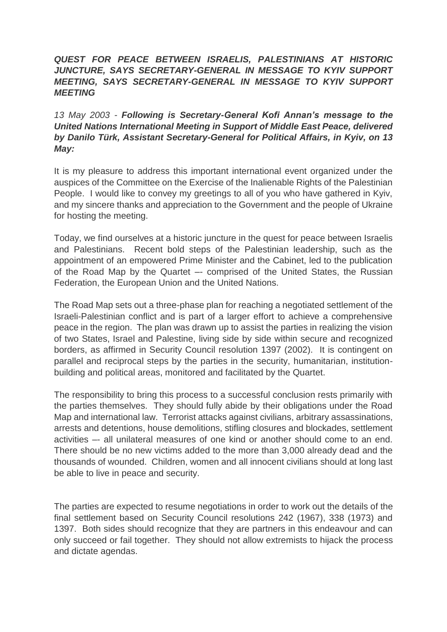## *QUEST FOR PEACE BETWEEN ISRAELIS, PALESTINIANS AT HISTORIC JUNCTURE, SAYS SECRETARY-GENERAL IN MESSAGE TO KYIV SUPPORT MEETING, SAYS SECRETARY-GENERAL IN MESSAGE TO KYIV SUPPORT MEETING*

## *13 May 2003 - Following is Secretary-General Kofi Annan's message to the United Nations International Meeting in Support of Middle East Peace, delivered by Danilo Türk, Assistant Secretary-General for Political Affairs, in Kyiv, on 13 May:*

It is my pleasure to address this important international event organized under the auspices of the Committee on the Exercise of the Inalienable Rights of the Palestinian People. I would like to convey my greetings to all of you who have gathered in Kyiv, and my sincere thanks and appreciation to the Government and the people of Ukraine for hosting the meeting.

Today, we find ourselves at a historic juncture in the quest for peace between Israelis and Palestinians. Recent bold steps of the Palestinian leadership, such as the appointment of an empowered Prime Minister and the Cabinet, led to the publication of the Road Map by the Quartet –- comprised of the United States, the Russian Federation, the European Union and the United Nations.

The Road Map sets out a three-phase plan for reaching a negotiated settlement of the Israeli-Palestinian conflict and is part of a larger effort to achieve a comprehensive peace in the region. The plan was drawn up to assist the parties in realizing the vision of two States, Israel and Palestine, living side by side within secure and recognized borders, as affirmed in Security Council resolution 1397 (2002). It is contingent on parallel and reciprocal steps by the parties in the security, humanitarian, institutionbuilding and political areas, monitored and facilitated by the Quartet.

The responsibility to bring this process to a successful conclusion rests primarily with the parties themselves. They should fully abide by their obligations under the Road Map and international law. Terrorist attacks against civilians, arbitrary assassinations, arrests and detentions, house demolitions, stifling closures and blockades, settlement activities –- all unilateral measures of one kind or another should come to an end. There should be no new victims added to the more than 3,000 already dead and the thousands of wounded. Children, women and all innocent civilians should at long last be able to live in peace and security.

The parties are expected to resume negotiations in order to work out the details of the final settlement based on Security Council resolutions 242 (1967), 338 (1973) and 1397. Both sides should recognize that they are partners in this endeavour and can only succeed or fail together. They should not allow extremists to hijack the process and dictate agendas.